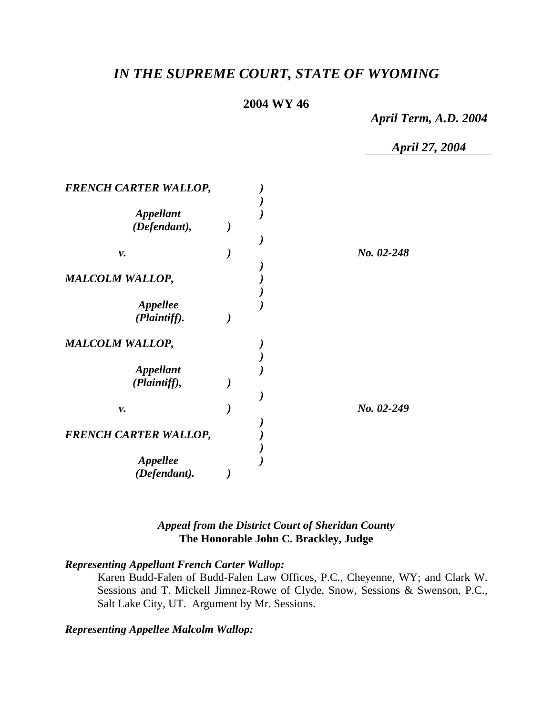# *IN THE SUPREME COURT, STATE OF WYOMING*

# **2004 WY 46**

*April Term, A.D. 2004* 

*April 27, 2004* 

| <b>FRENCH CARTER WALLOP,</b>     |  |            |
|----------------------------------|--|------------|
| <b>Appellant</b><br>(Defendant), |  |            |
| ν.                               |  | No. 02-248 |
| <b>MALCOLM WALLOP,</b>           |  |            |
| Appellee<br>(Plaintiff).         |  |            |
| <b>MALCOLM WALLOP,</b>           |  |            |
| <b>Appellant</b><br>(Plaintiff), |  |            |
| ν.                               |  | No. 02-249 |
| <b>FRENCH CARTER WALLOP,</b>     |  |            |
| <b>Appellee</b><br>(Defendant).  |  |            |

### *Appeal from the District Court of Sheridan County* **The Honorable John C. Brackley, Judge**

### *Representing Appellant French Carter Wallop:*

Karen Budd-Falen of Budd-Falen Law Offices, P.C., Cheyenne, WY; and Clark W. Sessions and T. Mickell Jimnez-Rowe of Clyde, Snow, Sessions & Swenson, P.C., Salt Lake City, UT. Argument by Mr. Sessions.

### *Representing Appellee Malcolm Wallop:*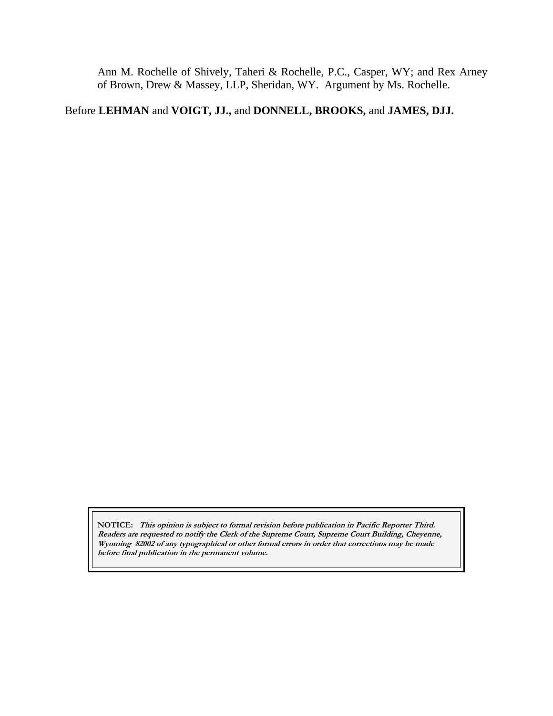Ann M. Rochelle of Shively, Taheri & Rochelle, P.C., Casper, WY; and Rex Arney of Brown, Drew & Massey, LLP, Sheridan, WY. Argument by Ms. Rochelle.

# Before **LEHMAN** and **VOIGT, JJ.,** and **DONNELL, BROOKS,** and **JAMES, DJJ.**

**NOTICE: This opinion is subject to formal revision before publication in Pacific Reporter Third. Readers are requested to notify the Clerk of the Supreme Court, Supreme Court Building, Cheyenne, Wyoming 82002 of any typographical or other formal errors in order that corrections may be made before final publication in the permanent volume.**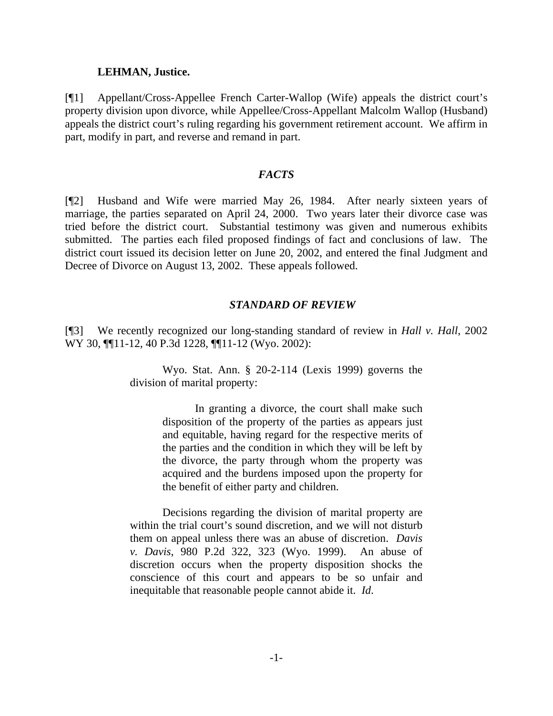#### **LEHMAN, Justice.**

[¶1] Appellant/Cross-Appellee French Carter-Wallop (Wife) appeals the district court's property division upon divorce, while Appellee/Cross-Appellant Malcolm Wallop (Husband) appeals the district court's ruling regarding his government retirement account. We affirm in part, modify in part, and reverse and remand in part.

#### *FACTS*

[¶2] Husband and Wife were married May 26, 1984. After nearly sixteen years of marriage, the parties separated on April 24, 2000. Two years later their divorce case was tried before the district court. Substantial testimony was given and numerous exhibits submitted. The parties each filed proposed findings of fact and conclusions of law. The district court issued its decision letter on June 20, 2002, and entered the final Judgment and Decree of Divorce on August 13, 2002. These appeals followed.

#### *STANDARD OF REVIEW*

[¶3] We recently recognized our long-standing standard of review in *Hall v. Hall*, 2002 WY 30, ¶¶11-12, 40 P.3d 1228, ¶¶11-12 (Wyo. 2002):

> Wyo. Stat. Ann. § 20-2-114 (Lexis 1999) governs the division of marital property:

> > In granting a divorce, the court shall make such disposition of the property of the parties as appears just and equitable, having regard for the respective merits of the parties and the condition in which they will be left by the divorce, the party through whom the property was acquired and the burdens imposed upon the property for the benefit of either party and children.

 Decisions regarding the division of marital property are within the trial court's sound discretion, and we will not disturb them on appeal unless there was an abuse of discretion. *Davis v. Davis*, 980 P.2d 322, 323 (Wyo. 1999). An abuse of discretion occurs when the property disposition shocks the conscience of this court and appears to be so unfair and inequitable that reasonable people cannot abide it. *Id*.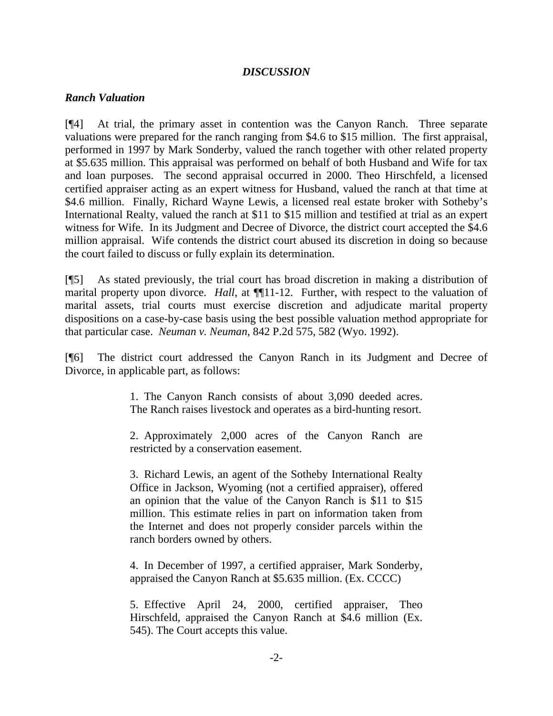### *DISCUSSION*

#### *Ranch Valuation*

[¶4] At trial, the primary asset in contention was the Canyon Ranch. Three separate valuations were prepared for the ranch ranging from \$4.6 to \$15 million. The first appraisal, performed in 1997 by Mark Sonderby, valued the ranch together with other related property at \$5.635 million. This appraisal was performed on behalf of both Husband and Wife for tax and loan purposes. The second appraisal occurred in 2000. Theo Hirschfeld, a licensed certified appraiser acting as an expert witness for Husband, valued the ranch at that time at \$4.6 million. Finally, Richard Wayne Lewis, a licensed real estate broker with Sotheby's International Realty, valued the ranch at \$11 to \$15 million and testified at trial as an expert witness for Wife. In its Judgment and Decree of Divorce, the district court accepted the \$4.6 million appraisal. Wife contends the district court abused its discretion in doing so because the court failed to discuss or fully explain its determination.

[¶5] As stated previously, the trial court has broad discretion in making a distribution of marital property upon divorce. *Hall*, at  $\P$ [11-12. Further, with respect to the valuation of marital assets, trial courts must exercise discretion and adjudicate marital property dispositions on a case-by-case basis using the best possible valuation method appropriate for that particular case. *Neuman v. Neuman*, 842 P.2d 575, 582 (Wyo. 1992).

[¶6] The district court addressed the Canyon Ranch in its Judgment and Decree of Divorce, in applicable part, as follows:

> 1. The Canyon Ranch consists of about 3,090 deeded acres. The Ranch raises livestock and operates as a bird-hunting resort.

> 2. Approximately 2,000 acres of the Canyon Ranch are restricted by a conservation easement.

> 3. Richard Lewis, an agent of the Sotheby International Realty Office in Jackson, Wyoming (not a certified appraiser), offered an opinion that the value of the Canyon Ranch is \$11 to \$15 million. This estimate relies in part on information taken from the Internet and does not properly consider parcels within the ranch borders owned by others.

> 4. In December of 1997, a certified appraiser, Mark Sonderby, appraised the Canyon Ranch at \$5.635 million. (Ex. CCCC)

> 5. Effective April 24, 2000, certified appraiser, Theo Hirschfeld, appraised the Canyon Ranch at \$4.6 million (Ex. 545). The Court accepts this value.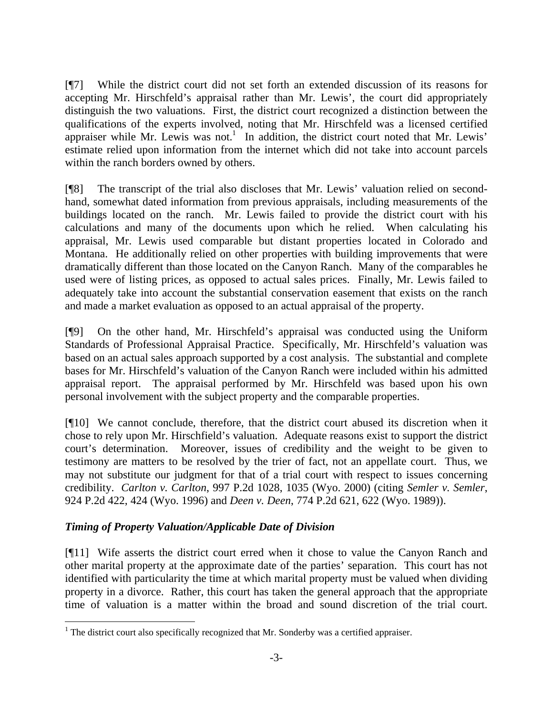[¶7] While the district court did not set forth an extended discussion of its reasons for accepting Mr. Hirschfeld's appraisal rather than Mr. Lewis', the court did appropriately distinguish the two valuations. First, the district court recognized a distinction between the qualifications of the experts involved, noting that Mr. Hirschfeld was a licensed certified appraiser while Mr. Lewis was not.<sup>1</sup> In addition, the district court noted that Mr. Lewis' estimate relied upon information from the internet which did not take into account parcels within the ranch borders owned by others.

[¶8] The transcript of the trial also discloses that Mr. Lewis' valuation relied on secondhand, somewhat dated information from previous appraisals, including measurements of the buildings located on the ranch. Mr. Lewis failed to provide the district court with his calculations and many of the documents upon which he relied. When calculating his appraisal, Mr. Lewis used comparable but distant properties located in Colorado and Montana. He additionally relied on other properties with building improvements that were dramatically different than those located on the Canyon Ranch. Many of the comparables he used were of listing prices, as opposed to actual sales prices. Finally, Mr. Lewis failed to adequately take into account the substantial conservation easement that exists on the ranch and made a market evaluation as opposed to an actual appraisal of the property.

[¶9] On the other hand, Mr. Hirschfeld's appraisal was conducted using the Uniform Standards of Professional Appraisal Practice. Specifically, Mr. Hirschfeld's valuation was based on an actual sales approach supported by a cost analysis. The substantial and complete bases for Mr. Hirschfeld's valuation of the Canyon Ranch were included within his admitted appraisal report. The appraisal performed by Mr. Hirschfeld was based upon his own personal involvement with the subject property and the comparable properties.

[¶10] We cannot conclude, therefore, that the district court abused its discretion when it chose to rely upon Mr. Hirschfield's valuation. Adequate reasons exist to support the district court's determination. Moreover, issues of credibility and the weight to be given to testimony are matters to be resolved by the trier of fact, not an appellate court. Thus, we may not substitute our judgment for that of a trial court with respect to issues concerning credibility. *Carlton v. Carlton*, 997 P.2d 1028, 1035 (Wyo. 2000) (citing *Semler v. Semler*, 924 P.2d 422, 424 (Wyo. 1996) and *Deen v. Deen*, 774 P.2d 621, 622 (Wyo. 1989)).

# *Timing of Property Valuation/Applicable Date of Division*

[¶11] Wife asserts the district court erred when it chose to value the Canyon Ranch and other marital property at the approximate date of the parties' separation. This court has not identified with particularity the time at which marital property must be valued when dividing property in a divorce. Rather, this court has taken the general approach that the appropriate time of valuation is a matter within the broad and sound discretion of the trial court.

 1 The district court also specifically recognized that Mr. Sonderby was a certified appraiser.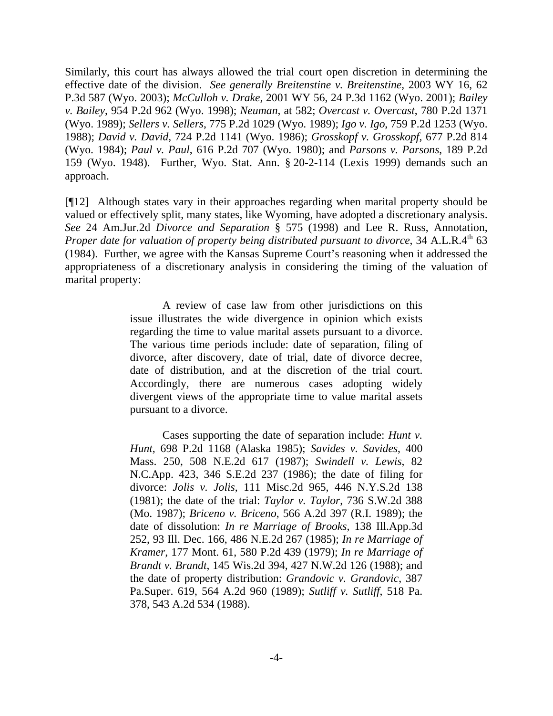Similarly, this court has always allowed the trial court open discretion in determining the effective date of the division. *See generally Breitenstine v. Breitenstine*, 2003 WY 16, 62 P.3d 587 (Wyo. 2003); *McCulloh v. Drake,* 2001 WY 56, 24 P.3d 1162 (Wyo. 2001); *Bailey v. Bailey*, 954 P.2d 962 (Wyo. 1998); *Neuman*, at 582; *Overcast v. Overcast*, 780 P.2d 1371 (Wyo. 1989); *Sellers v. Sellers*, 775 P.2d 1029 (Wyo. 1989); *Igo v. Igo*, 759 P.2d 1253 (Wyo. 1988); *David v. David*, 724 P.2d 1141 (Wyo. 1986); *Grosskopf v. Grosskopf*, 677 P.2d 814 (Wyo. 1984); *Paul v. Paul*, 616 P.2d 707 (Wyo. 1980); and *Parsons v. Parsons*, 189 P.2d 159 (Wyo. 1948).Further, Wyo. Stat. Ann. § 20-2-114 (Lexis 1999) demands such an approach.

[¶12] Although states vary in their approaches regarding when marital property should be valued or effectively split, many states, like Wyoming, have adopted a discretionary analysis. *See* 24 Am.Jur.2d *Divorce and Separation* § 575 (1998) and Lee R. Russ, Annotation, *Proper date for valuation of property being distributed pursuant to divorce*, 34 A.L.R.4<sup>th</sup> 63 (1984). Further, we agree with the Kansas Supreme Court's reasoning when it addressed the appropriateness of a discretionary analysis in considering the timing of the valuation of marital property:

> A review of case law from other jurisdictions on this issue illustrates the wide divergence in opinion which exists regarding the time to value marital assets pursuant to a divorce. The various time periods include: date of separation, filing of divorce, after discovery, date of trial, date of divorce decree, date of distribution, and at the discretion of the trial court. Accordingly, there are numerous cases adopting widely divergent views of the appropriate time to value marital assets pursuant to a divorce.

> Cases supporting the date of separation include: *Hunt v. Hunt*, 698 P.2d 1168 (Alaska 1985); *Savides v. Savides*, 400 Mass. 250, 508 N.E.2d 617 (1987); *Swindell v. Lewis*, 82 N.C.App. 423, 346 S.E.2d 237 (1986); the date of filing for divorce: *Jolis v. Jolis*, 111 Misc.2d 965, 446 N.Y.S.2d 138 (1981); the date of the trial: *Taylor v. Taylor*, 736 S.W.2d 388 (Mo. 1987); *Briceno v. Briceno*, 566 A.2d 397 (R.I. 1989); the date of dissolution: *In re Marriage of Brooks*, 138 Ill.App.3d 252, 93 Ill. Dec. 166, 486 N.E.2d 267 (1985); *In re Marriage of Kramer*, 177 Mont. 61, 580 P.2d 439 (1979); *In re Marriage of Brandt v. Brandt*, 145 Wis.2d 394, 427 N.W.2d 126 (1988); and the date of property distribution: *Grandovic v. Grandovic*, 387 Pa.Super. 619, 564 A.2d 960 (1989); *Sutliff v. Sutliff*, 518 Pa. 378, 543 A.2d 534 (1988).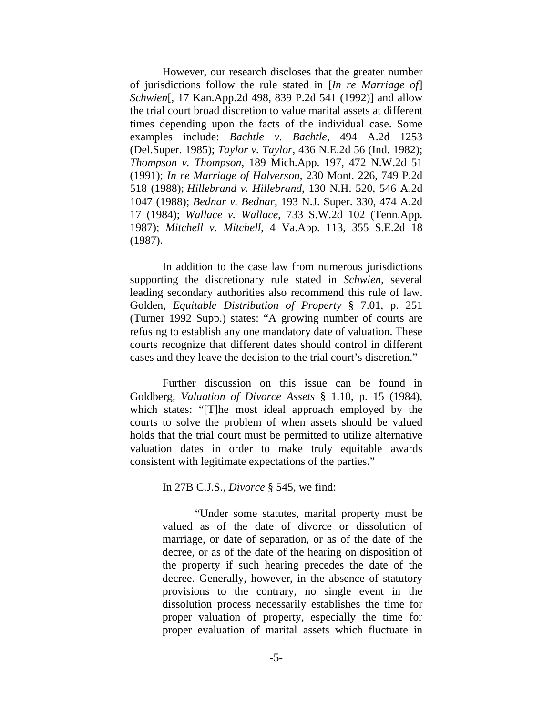However, our research discloses that the greater number of jurisdictions follow the rule stated in [*In re Marriage of*] *Schwien*[, 17 Kan.App.2d 498, 839 P.2d 541 (1992)] and allow the trial court broad discretion to value marital assets at different times depending upon the facts of the individual case. Some examples include: *Bachtle v. Bachtle*, 494 A.2d 1253 (Del.Super. 1985); *Taylor v. Taylor*, 436 N.E.2d 56 (Ind. 1982); *Thompson v. Thompson*, 189 Mich.App. 197, 472 N.W.2d 51 (1991); *In re Marriage of Halverson*, 230 Mont. 226, 749 P.2d 518 (1988); *Hillebrand v. Hillebrand*, 130 N.H. 520, 546 A.2d 1047 (1988); *Bednar v. Bednar*, 193 N.J. Super. 330, 474 A.2d 17 (1984); *Wallace v. Wallace*, 733 S.W.2d 102 (Tenn.App. 1987); *Mitchell v. Mitchell*, 4 Va.App. 113, 355 S.E.2d 18 (1987).

 In addition to the case law from numerous jurisdictions supporting the discretionary rule stated in *Schwien*, several leading secondary authorities also recommend this rule of law. Golden, *Equitable Distribution of Property* § 7.01, p. 251 (Turner 1992 Supp.) states: "A growing number of courts are refusing to establish any one mandatory date of valuation. These courts recognize that different dates should control in different cases and they leave the decision to the trial court's discretion."

 Further discussion on this issue can be found in Goldberg, *Valuation of Divorce Assets* § 1.10, p. 15 (1984), which states: "[T]he most ideal approach employed by the courts to solve the problem of when assets should be valued holds that the trial court must be permitted to utilize alternative valuation dates in order to make truly equitable awards consistent with legitimate expectations of the parties."

In 27B C.J.S., *Divorce* § 545, we find:

 "Under some statutes, marital property must be valued as of the date of divorce or dissolution of marriage, or date of separation, or as of the date of the decree, or as of the date of the hearing on disposition of the property if such hearing precedes the date of the decree. Generally, however, in the absence of statutory provisions to the contrary, no single event in the dissolution process necessarily establishes the time for proper valuation of property, especially the time for proper evaluation of marital assets which fluctuate in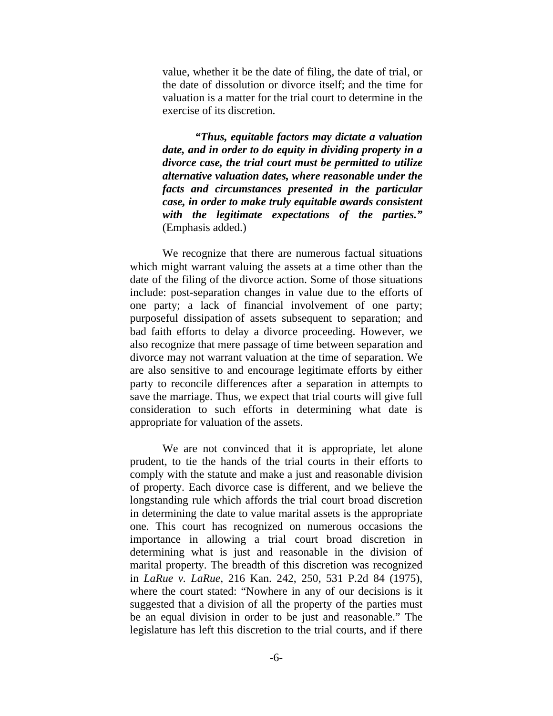value, whether it be the date of filing, the date of trial, or the date of dissolution or divorce itself; and the time for valuation is a matter for the trial court to determine in the exercise of its discretion.

*"Thus, equitable factors may dictate a valuation date, and in order to do equity in dividing property in a divorce case, the trial court must be permitted to utilize alternative valuation dates, where reasonable under the facts and circumstances presented in the particular case, in order to make truly equitable awards consistent with the legitimate expectations of the parties."* (Emphasis added.)

 We recognize that there are numerous factual situations which might warrant valuing the assets at a time other than the date of the filing of the divorce action. Some of those situations include: post-separation changes in value due to the efforts of one party; a lack of financial involvement of one party; purposeful dissipation of assets subsequent to separation; and bad faith efforts to delay a divorce proceeding. However, we also recognize that mere passage of time between separation and divorce may not warrant valuation at the time of separation. We are also sensitive to and encourage legitimate efforts by either party to reconcile differences after a separation in attempts to save the marriage. Thus, we expect that trial courts will give full consideration to such efforts in determining what date is appropriate for valuation of the assets.

 We are not convinced that it is appropriate, let alone prudent, to tie the hands of the trial courts in their efforts to comply with the statute and make a just and reasonable division of property. Each divorce case is different, and we believe the longstanding rule which affords the trial court broad discretion in determining the date to value marital assets is the appropriate one. This court has recognized on numerous occasions the importance in allowing a trial court broad discretion in determining what is just and reasonable in the division of marital property. The breadth of this discretion was recognized in *LaRue v. LaRue*, 216 Kan. 242, 250, 531 P.2d 84 (1975), where the court stated: "Nowhere in any of our decisions is it suggested that a division of all the property of the parties must be an equal division in order to be just and reasonable." The legislature has left this discretion to the trial courts, and if there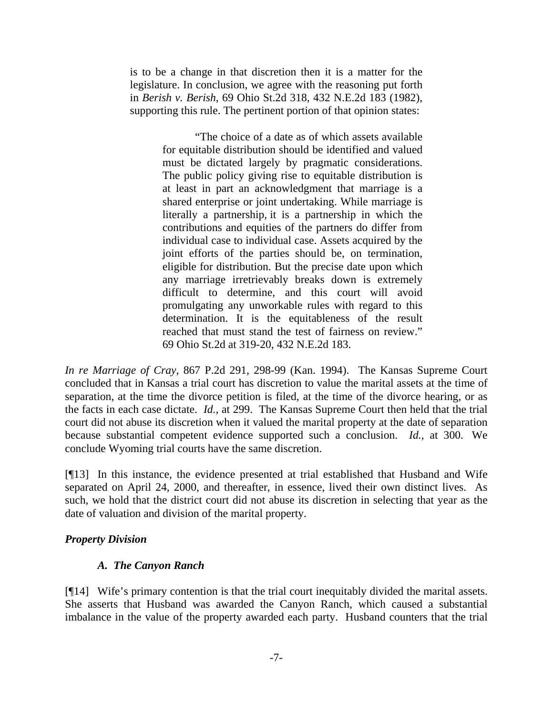is to be a change in that discretion then it is a matter for the legislature. In conclusion, we agree with the reasoning put forth in *Berish v. Berish*, 69 Ohio St.2d 318, 432 N.E.2d 183 (1982), supporting this rule. The pertinent portion of that opinion states:

> "The choice of a date as of which assets available for equitable distribution should be identified and valued must be dictated largely by pragmatic considerations. The public policy giving rise to equitable distribution is at least in part an acknowledgment that marriage is a shared enterprise or joint undertaking. While marriage is literally a partnership, it is a partnership in which the contributions and equities of the partners do differ from individual case to individual case. Assets acquired by the joint efforts of the parties should be, on termination, eligible for distribution. But the precise date upon which any marriage irretrievably breaks down is extremely difficult to determine, and this court will avoid promulgating any unworkable rules with regard to this determination. It is the equitableness of the result reached that must stand the test of fairness on review." 69 Ohio St.2d at 319-20, 432 N.E.2d 183.

*In re Marriage of Cray*, 867 P.2d 291, 298-99 (Kan. 1994). The Kansas Supreme Court concluded that in Kansas a trial court has discretion to value the marital assets at the time of separation, at the time the divorce petition is filed, at the time of the divorce hearing, or as the facts in each case dictate. *Id.*, at 299. The Kansas Supreme Court then held that the trial court did not abuse its discretion when it valued the marital property at the date of separation because substantial competent evidence supported such a conclusion. *Id.,* at 300. We conclude Wyoming trial courts have the same discretion.

[¶13] In this instance, the evidence presented at trial established that Husband and Wife separated on April 24, 2000, and thereafter, in essence, lived their own distinct lives. As such, we hold that the district court did not abuse its discretion in selecting that year as the date of valuation and division of the marital property.

### *Property Division*

# *A. The Canyon Ranch*

[¶14] Wife's primary contention is that the trial court inequitably divided the marital assets. She asserts that Husband was awarded the Canyon Ranch, which caused a substantial imbalance in the value of the property awarded each party. Husband counters that the trial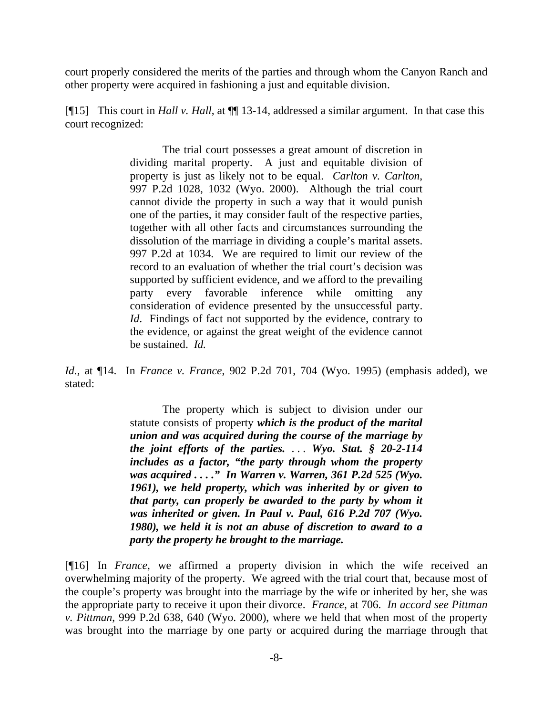court properly considered the merits of the parties and through whom the Canyon Ranch and other property were acquired in fashioning a just and equitable division.

[¶15] This court in *Hall v. Hall*, at ¶¶ 13-14, addressed a similar argument. In that case this court recognized:

> The trial court possesses a great amount of discretion in dividing marital property. A just and equitable division of property is just as likely not to be equal. *Carlton v. Carlton*, 997 P.2d 1028, 1032 (Wyo. 2000). Although the trial court cannot divide the property in such a way that it would punish one of the parties, it may consider fault of the respective parties, together with all other facts and circumstances surrounding the dissolution of the marriage in dividing a couple's marital assets. 997 P.2d at 1034. We are required to limit our review of the record to an evaluation of whether the trial court's decision was supported by sufficient evidence, and we afford to the prevailing party every favorable inference while omitting any consideration of evidence presented by the unsuccessful party. *Id*. Findings of fact not supported by the evidence, contrary to the evidence, or against the great weight of the evidence cannot be sustained. *Id.*

*Id.,* at ¶14. In *France v. France*, 902 P.2d 701, 704 (Wyo. 1995) (emphasis added), we stated:

> The property which is subject to division under our statute consists of property *which is the product of the marital union and was acquired during the course of the marriage by the joint efforts of the parties.* . . . *Wyo. Stat. § 20-2-114 includes as a factor, "the party through whom the property was acquired . . . ." In Warren v. Warren, 361 P.2d 525 (Wyo. 1961), we held property, which was inherited by or given to that party, can properly be awarded to the party by whom it was inherited or given. In Paul v. Paul, 616 P.2d 707 (Wyo. 1980), we held it is not an abuse of discretion to award to a party the property he brought to the marriage.*

[¶16] In *France*, we affirmed a property division in which the wife received an overwhelming majority of the property. We agreed with the trial court that, because most of the couple's property was brought into the marriage by the wife or inherited by her, she was the appropriate party to receive it upon their divorce. *France*, at 706. *In accord see Pittman v. Pittman*, 999 P.2d 638, 640 (Wyo. 2000), where we held that when most of the property was brought into the marriage by one party or acquired during the marriage through that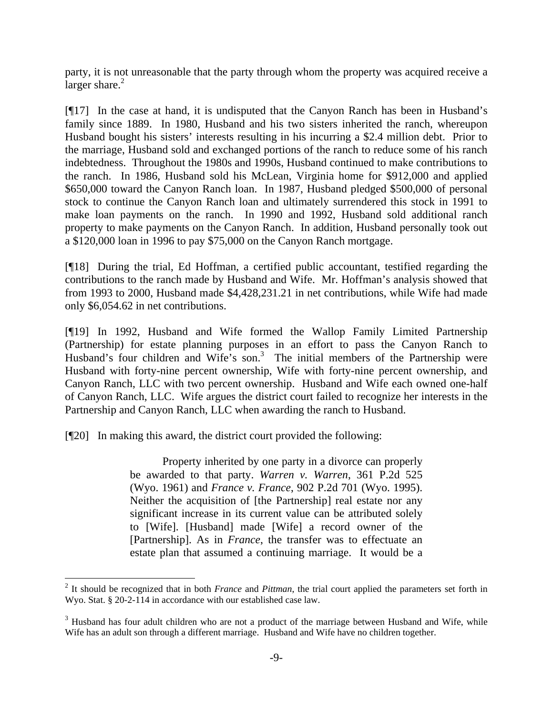party, it is not unreasonable that the party through whom the property was acquired receive a  $\overline{\text{larger share.}}^2$ 

[¶17] In the case at hand, it is undisputed that the Canyon Ranch has been in Husband's family since 1889. In 1980, Husband and his two sisters inherited the ranch, whereupon Husband bought his sisters' interests resulting in his incurring a \$2.4 million debt. Prior to the marriage, Husband sold and exchanged portions of the ranch to reduce some of his ranch indebtedness. Throughout the 1980s and 1990s, Husband continued to make contributions to the ranch. In 1986, Husband sold his McLean, Virginia home for \$912,000 and applied \$650,000 toward the Canyon Ranch loan. In 1987, Husband pledged \$500,000 of personal stock to continue the Canyon Ranch loan and ultimately surrendered this stock in 1991 to make loan payments on the ranch. In 1990 and 1992, Husband sold additional ranch property to make payments on the Canyon Ranch. In addition, Husband personally took out a \$120,000 loan in 1996 to pay \$75,000 on the Canyon Ranch mortgage.

[¶18] During the trial, Ed Hoffman, a certified public accountant, testified regarding the contributions to the ranch made by Husband and Wife. Mr. Hoffman's analysis showed that from 1993 to 2000, Husband made \$4,428,231.21 in net contributions, while Wife had made only \$6,054.62 in net contributions.

[¶19] In 1992, Husband and Wife formed the Wallop Family Limited Partnership (Partnership) for estate planning purposes in an effort to pass the Canyon Ranch to Husband's four children and Wife's son.<sup>3</sup> The initial members of the Partnership were Husband with forty-nine percent ownership, Wife with forty-nine percent ownership, and Canyon Ranch, LLC with two percent ownership. Husband and Wife each owned one-half of Canyon Ranch, LLC. Wife argues the district court failed to recognize her interests in the Partnership and Canyon Ranch, LLC when awarding the ranch to Husband.

[¶20] In making this award, the district court provided the following:

 Property inherited by one party in a divorce can properly be awarded to that party. *Warren v. Warren*, 361 P.2d 525 (Wyo. 1961) and *France v. France*, 902 P.2d 701 (Wyo. 1995). Neither the acquisition of [the Partnership] real estate nor any significant increase in its current value can be attributed solely to [Wife]. [Husband] made [Wife] a record owner of the [Partnership]. As in *France*, the transfer was to effectuate an estate plan that assumed a continuing marriage. It would be a

<sup>2</sup> It should be recognized that in both *France* and *Pittman*, the trial court applied the parameters set forth in Wyo. Stat. § 20-2-114 in accordance with our established case law.

 $3$  Husband has four adult children who are not a product of the marriage between Husband and Wife, while Wife has an adult son through a different marriage. Husband and Wife have no children together.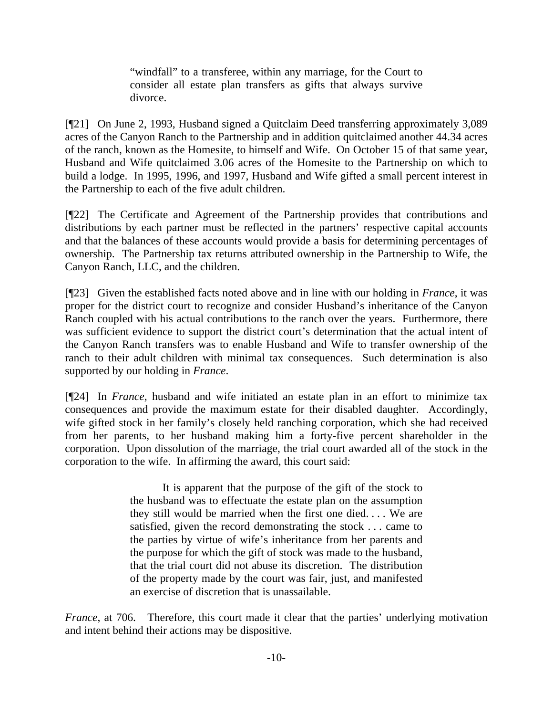"windfall" to a transferee, within any marriage, for the Court to consider all estate plan transfers as gifts that always survive divorce.

[¶21] On June 2, 1993, Husband signed a Quitclaim Deed transferring approximately 3,089 acres of the Canyon Ranch to the Partnership and in addition quitclaimed another 44.34 acres of the ranch, known as the Homesite, to himself and Wife. On October 15 of that same year, Husband and Wife quitclaimed 3.06 acres of the Homesite to the Partnership on which to build a lodge. In 1995, 1996, and 1997, Husband and Wife gifted a small percent interest in the Partnership to each of the five adult children.

[¶22] The Certificate and Agreement of the Partnership provides that contributions and distributions by each partner must be reflected in the partners' respective capital accounts and that the balances of these accounts would provide a basis for determining percentages of ownership. The Partnership tax returns attributed ownership in the Partnership to Wife, the Canyon Ranch, LLC, and the children.

[¶23] Given the established facts noted above and in line with our holding in *France*, it was proper for the district court to recognize and consider Husband's inheritance of the Canyon Ranch coupled with his actual contributions to the ranch over the years. Furthermore, there was sufficient evidence to support the district court's determination that the actual intent of the Canyon Ranch transfers was to enable Husband and Wife to transfer ownership of the ranch to their adult children with minimal tax consequences. Such determination is also supported by our holding in *France*.

[¶24] In *France*, husband and wife initiated an estate plan in an effort to minimize tax consequences and provide the maximum estate for their disabled daughter. Accordingly, wife gifted stock in her family's closely held ranching corporation, which she had received from her parents, to her husband making him a forty-five percent shareholder in the corporation. Upon dissolution of the marriage, the trial court awarded all of the stock in the corporation to the wife. In affirming the award, this court said:

> It is apparent that the purpose of the gift of the stock to the husband was to effectuate the estate plan on the assumption they still would be married when the first one died. . . . We are satisfied, given the record demonstrating the stock . . . came to the parties by virtue of wife's inheritance from her parents and the purpose for which the gift of stock was made to the husband, that the trial court did not abuse its discretion. The distribution of the property made by the court was fair, just, and manifested an exercise of discretion that is unassailable.

*France*, at 706. Therefore, this court made it clear that the parties' underlying motivation and intent behind their actions may be dispositive.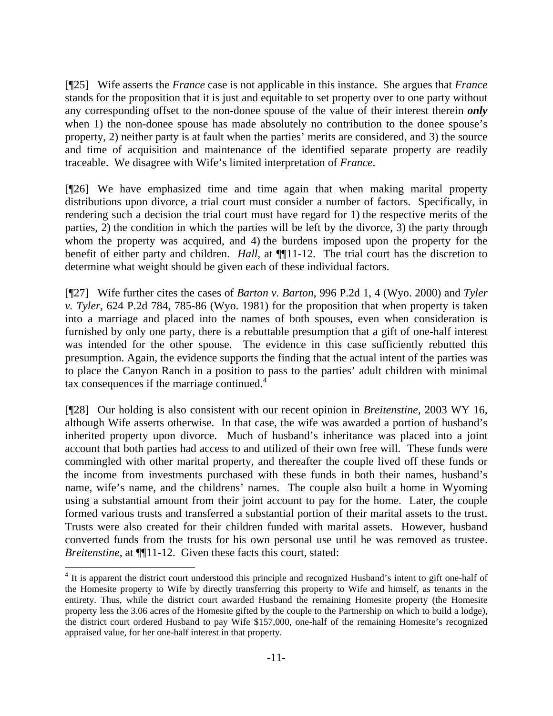[¶25] Wife asserts the *France* case is not applicable in this instance. She argues that *France*  stands for the proposition that it is just and equitable to set property over to one party without any corresponding offset to the non-donee spouse of the value of their interest therein *only* when 1) the non-donee spouse has made absolutely no contribution to the donee spouse's property, 2) neither party is at fault when the parties' merits are considered, and 3) the source and time of acquisition and maintenance of the identified separate property are readily traceable. We disagree with Wife's limited interpretation of *France*.

[¶26] We have emphasized time and time again that when making marital property distributions upon divorce, a trial court must consider a number of factors. Specifically, in rendering such a decision the trial court must have regard for 1) the respective merits of the parties, 2) the condition in which the parties will be left by the divorce, 3) the party through whom the property was acquired, and 4) the burdens imposed upon the property for the benefit of either party and children. *Hall*, at **[111-12.** The trial court has the discretion to determine what weight should be given each of these individual factors.

[¶27] Wife further cites the cases of *Barton v. Barton*, 996 P.2d 1, 4 (Wyo. 2000) and *Tyler v. Tyler*, 624 P.2d 784, 785-86 (Wyo. 1981) for the proposition that when property is taken into a marriage and placed into the names of both spouses, even when consideration is furnished by only one party, there is a rebuttable presumption that a gift of one-half interest was intended for the other spouse. The evidence in this case sufficiently rebutted this presumption. Again, the evidence supports the finding that the actual intent of the parties was to place the Canyon Ranch in a position to pass to the parties' adult children with minimal tax consequences if the marriage continued. $4$ 

[¶28] Our holding is also consistent with our recent opinion in *Breitenstine*, 2003 WY 16, although Wife asserts otherwise. In that case, the wife was awarded a portion of husband's inherited property upon divorce. Much of husband's inheritance was placed into a joint account that both parties had access to and utilized of their own free will. These funds were commingled with other marital property, and thereafter the couple lived off these funds or the income from investments purchased with these funds in both their names, husband's name, wife's name, and the childrens' names. The couple also built a home in Wyoming using a substantial amount from their joint account to pay for the home. Later, the couple formed various trusts and transferred a substantial portion of their marital assets to the trust. Trusts were also created for their children funded with marital assets. However, husband converted funds from the trusts for his own personal use until he was removed as trustee. *Breitenstine*, at  $\P\P11-12$ . Given these facts this court, stated:

<sup>&</sup>lt;sup>4</sup> It is apparent the district court understood this principle and recognized Husband's intent to gift one-half of the Homesite property to Wife by directly transferring this property to Wife and himself, as tenants in the entirety. Thus, while the district court awarded Husband the remaining Homesite property (the Homesite property less the 3.06 acres of the Homesite gifted by the couple to the Partnership on which to build a lodge), the district court ordered Husband to pay Wife \$157,000, one-half of the remaining Homesite's recognized appraised value, for her one-half interest in that property.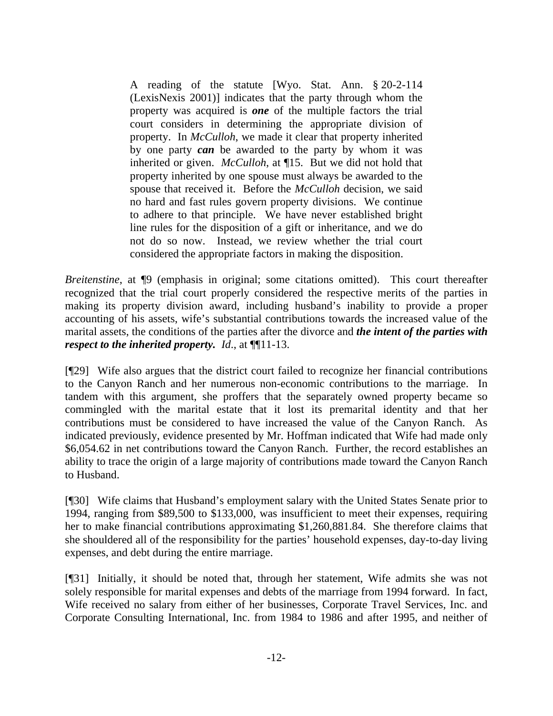A reading of the statute [Wyo. Stat. Ann. § 20-2-114 (LexisNexis 2001)] indicates that the party through whom the property was acquired is *one* of the multiple factors the trial court considers in determining the appropriate division of property. In *McCulloh*, we made it clear that property inherited by one party *can* be awarded to the party by whom it was inherited or given. *McCulloh*, at ¶15. But we did not hold that property inherited by one spouse must always be awarded to the spouse that received it. Before the *McCulloh* decision, we said no hard and fast rules govern property divisions. We continue to adhere to that principle. We have never established bright line rules for the disposition of a gift or inheritance, and we do not do so now. Instead, we review whether the trial court considered the appropriate factors in making the disposition.

*Breitenstine*, at  $\mathbb{I}9$  (emphasis in original; some citations omitted). This court thereafter recognized that the trial court properly considered the respective merits of the parties in making its property division award, including husband's inability to provide a proper accounting of his assets, wife's substantial contributions towards the increased value of the marital assets, the conditions of the parties after the divorce and *the intent of the parties with respect to the inherited property. Id*., at ¶¶11-13.

[¶29] Wife also argues that the district court failed to recognize her financial contributions to the Canyon Ranch and her numerous non-economic contributions to the marriage. In tandem with this argument, she proffers that the separately owned property became so commingled with the marital estate that it lost its premarital identity and that her contributions must be considered to have increased the value of the Canyon Ranch. As indicated previously, evidence presented by Mr. Hoffman indicated that Wife had made only \$6,054.62 in net contributions toward the Canyon Ranch. Further, the record establishes an ability to trace the origin of a large majority of contributions made toward the Canyon Ranch to Husband.

[¶30] Wife claims that Husband's employment salary with the United States Senate prior to 1994, ranging from \$89,500 to \$133,000, was insufficient to meet their expenses, requiring her to make financial contributions approximating \$1,260,881.84. She therefore claims that she shouldered all of the responsibility for the parties' household expenses, day-to-day living expenses, and debt during the entire marriage.

[¶31] Initially, it should be noted that, through her statement, Wife admits she was not solely responsible for marital expenses and debts of the marriage from 1994 forward. In fact, Wife received no salary from either of her businesses, Corporate Travel Services, Inc. and Corporate Consulting International, Inc. from 1984 to 1986 and after 1995, and neither of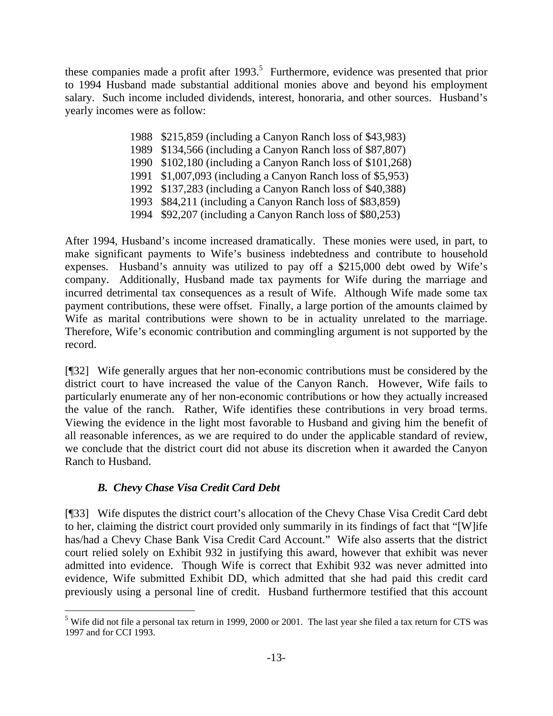these companies made a profit after  $1993$ <sup>5</sup>. Furthermore, evidence was presented that prior to 1994 Husband made substantial additional monies above and beyond his employment salary. Such income included dividends, interest, honoraria, and other sources. Husband's yearly incomes were as follow:

- 1988 \$215,859 (including a Canyon Ranch loss of \$43,983)
- 1989 \$134,566 (including a Canyon Ranch loss of \$87,807)
- 1990 \$102,180 (including a Canyon Ranch loss of \$101,268)
- 1991 \$1,007,093 (including a Canyon Ranch loss of \$5,953)
- 1992 \$137,283 (including a Canyon Ranch loss of \$40,388)
- 1993 \$84,211 (including a Canyon Ranch loss of \$83,859)
- 1994 \$92,207 (including a Canyon Ranch loss of \$80,253)

After 1994, Husband's income increased dramatically. These monies were used, in part, to make significant payments to Wife's business indebtedness and contribute to household expenses. Husband's annuity was utilized to pay off a \$215,000 debt owed by Wife's company. Additionally, Husband made tax payments for Wife during the marriage and incurred detrimental tax consequences as a result of Wife. Although Wife made some tax payment contributions, these were offset. Finally, a large portion of the amounts claimed by Wife as marital contributions were shown to be in actuality unrelated to the marriage. Therefore, Wife's economic contribution and commingling argument is not supported by the record.

[¶32] Wife generally argues that her non-economic contributions must be considered by the district court to have increased the value of the Canyon Ranch. However, Wife fails to particularly enumerate any of her non-economic contributions or how they actually increased the value of the ranch. Rather, Wife identifies these contributions in very broad terms. Viewing the evidence in the light most favorable to Husband and giving him the benefit of all reasonable inferences, as we are required to do under the applicable standard of review, we conclude that the district court did not abuse its discretion when it awarded the Canyon Ranch to Husband.

# *B. Chevy Chase Visa Credit Card Debt*

 $\overline{a}$ 

[¶33] Wife disputes the district court's allocation of the Chevy Chase Visa Credit Card debt to her, claiming the district court provided only summarily in its findings of fact that "[W]ife has/had a Chevy Chase Bank Visa Credit Card Account." Wife also asserts that the district court relied solely on Exhibit 932 in justifying this award, however that exhibit was never admitted into evidence. Though Wife is correct that Exhibit 932 was never admitted into evidence, Wife submitted Exhibit DD, which admitted that she had paid this credit card previously using a personal line of credit. Husband furthermore testified that this account

<sup>&</sup>lt;sup>5</sup> Wife did not file a personal tax return in 1999, 2000 or 2001. The last year she filed a tax return for CTS was 1997 and for CCI 1993.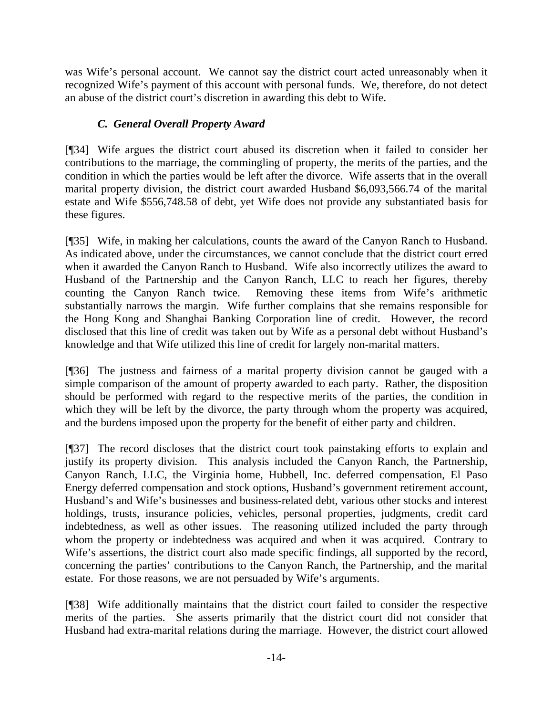was Wife's personal account. We cannot say the district court acted unreasonably when it recognized Wife's payment of this account with personal funds. We, therefore, do not detect an abuse of the district court's discretion in awarding this debt to Wife.

# *C. General Overall Property Award*

[¶34] Wife argues the district court abused its discretion when it failed to consider her contributions to the marriage, the commingling of property, the merits of the parties, and the condition in which the parties would be left after the divorce. Wife asserts that in the overall marital property division, the district court awarded Husband \$6,093,566.74 of the marital estate and Wife \$556,748.58 of debt, yet Wife does not provide any substantiated basis for these figures.

[¶35] Wife, in making her calculations, counts the award of the Canyon Ranch to Husband. As indicated above, under the circumstances, we cannot conclude that the district court erred when it awarded the Canyon Ranch to Husband. Wife also incorrectly utilizes the award to Husband of the Partnership and the Canyon Ranch, LLC to reach her figures, thereby counting the Canyon Ranch twice. Removing these items from Wife's arithmetic substantially narrows the margin. Wife further complains that she remains responsible for the Hong Kong and Shanghai Banking Corporation line of credit. However, the record disclosed that this line of credit was taken out by Wife as a personal debt without Husband's knowledge and that Wife utilized this line of credit for largely non-marital matters.

[¶36] The justness and fairness of a marital property division cannot be gauged with a simple comparison of the amount of property awarded to each party. Rather, the disposition should be performed with regard to the respective merits of the parties, the condition in which they will be left by the divorce, the party through whom the property was acquired, and the burdens imposed upon the property for the benefit of either party and children.

[¶37] The record discloses that the district court took painstaking efforts to explain and justify its property division. This analysis included the Canyon Ranch, the Partnership, Canyon Ranch, LLC, the Virginia home, Hubbell, Inc. deferred compensation, El Paso Energy deferred compensation and stock options, Husband's government retirement account, Husband's and Wife's businesses and business-related debt, various other stocks and interest holdings, trusts, insurance policies, vehicles, personal properties, judgments, credit card indebtedness, as well as other issues. The reasoning utilized included the party through whom the property or indebtedness was acquired and when it was acquired. Contrary to Wife's assertions, the district court also made specific findings, all supported by the record, concerning the parties' contributions to the Canyon Ranch, the Partnership, and the marital estate. For those reasons, we are not persuaded by Wife's arguments.

[¶38] Wife additionally maintains that the district court failed to consider the respective merits of the parties. She asserts primarily that the district court did not consider that Husband had extra-marital relations during the marriage. However, the district court allowed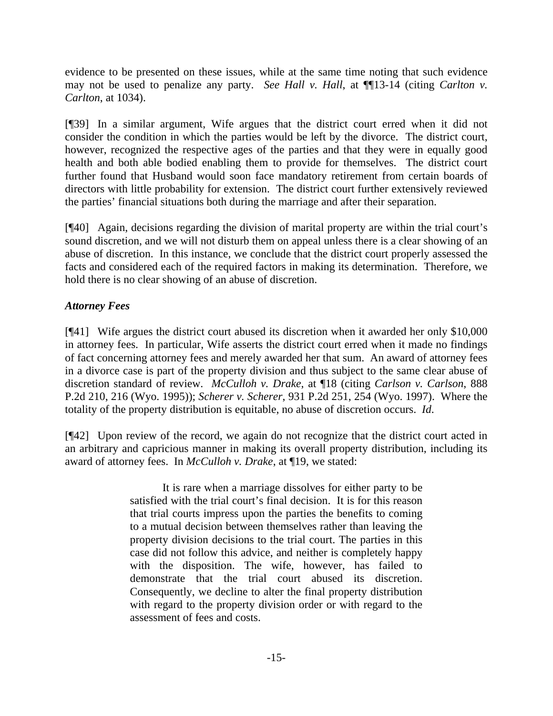evidence to be presented on these issues, while at the same time noting that such evidence may not be used to penalize any party. *See Hall v. Hall*, at  $\P$ [13-14 (citing *Carlton v. Carlton*, at 1034).

[¶39] In a similar argument, Wife argues that the district court erred when it did not consider the condition in which the parties would be left by the divorce. The district court, however, recognized the respective ages of the parties and that they were in equally good health and both able bodied enabling them to provide for themselves. The district court further found that Husband would soon face mandatory retirement from certain boards of directors with little probability for extension. The district court further extensively reviewed the parties' financial situations both during the marriage and after their separation.

[¶40] Again, decisions regarding the division of marital property are within the trial court's sound discretion, and we will not disturb them on appeal unless there is a clear showing of an abuse of discretion. In this instance, we conclude that the district court properly assessed the facts and considered each of the required factors in making its determination. Therefore, we hold there is no clear showing of an abuse of discretion.

# *Attorney Fees*

[¶41] Wife argues the district court abused its discretion when it awarded her only \$10,000 in attorney fees. In particular, Wife asserts the district court erred when it made no findings of fact concerning attorney fees and merely awarded her that sum. An award of attorney fees in a divorce case is part of the property division and thus subject to the same clear abuse of discretion standard of review. *McCulloh v. Drake*, at ¶18 (citing *Carlson v. Carlson*, 888 P.2d 210, 216 (Wyo. 1995)); *Scherer v. Scherer*, 931 P.2d 251, 254 (Wyo. 1997). Where the totality of the property distribution is equitable, no abuse of discretion occurs. *Id*.

[¶42] Upon review of the record, we again do not recognize that the district court acted in an arbitrary and capricious manner in making its overall property distribution, including its award of attorney fees. In *McCulloh v. Drake*, at ¶19, we stated:

> It is rare when a marriage dissolves for either party to be satisfied with the trial court's final decision. It is for this reason that trial courts impress upon the parties the benefits to coming to a mutual decision between themselves rather than leaving the property division decisions to the trial court. The parties in this case did not follow this advice, and neither is completely happy with the disposition. The wife, however, has failed to demonstrate that the trial court abused its discretion. Consequently, we decline to alter the final property distribution with regard to the property division order or with regard to the assessment of fees and costs.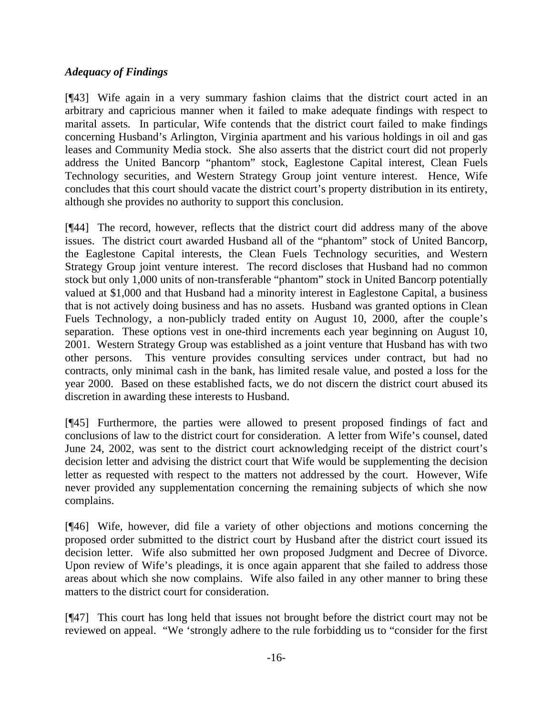### *Adequacy of Findings*

[¶43] Wife again in a very summary fashion claims that the district court acted in an arbitrary and capricious manner when it failed to make adequate findings with respect to marital assets. In particular, Wife contends that the district court failed to make findings concerning Husband's Arlington, Virginia apartment and his various holdings in oil and gas leases and Community Media stock. She also asserts that the district court did not properly address the United Bancorp "phantom" stock, Eaglestone Capital interest, Clean Fuels Technology securities, and Western Strategy Group joint venture interest. Hence, Wife concludes that this court should vacate the district court's property distribution in its entirety, although she provides no authority to support this conclusion.

[¶44] The record, however, reflects that the district court did address many of the above issues. The district court awarded Husband all of the "phantom" stock of United Bancorp, the Eaglestone Capital interests, the Clean Fuels Technology securities, and Western Strategy Group joint venture interest. The record discloses that Husband had no common stock but only 1,000 units of non-transferable "phantom" stock in United Bancorp potentially valued at \$1,000 and that Husband had a minority interest in Eaglestone Capital, a business that is not actively doing business and has no assets. Husband was granted options in Clean Fuels Technology, a non-publicly traded entity on August 10, 2000, after the couple's separation. These options vest in one-third increments each year beginning on August 10, 2001. Western Strategy Group was established as a joint venture that Husband has with two other persons. This venture provides consulting services under contract, but had no contracts, only minimal cash in the bank, has limited resale value, and posted a loss for the year 2000. Based on these established facts, we do not discern the district court abused its discretion in awarding these interests to Husband.

[¶45] Furthermore, the parties were allowed to present proposed findings of fact and conclusions of law to the district court for consideration. A letter from Wife's counsel, dated June 24, 2002, was sent to the district court acknowledging receipt of the district court's decision letter and advising the district court that Wife would be supplementing the decision letter as requested with respect to the matters not addressed by the court. However, Wife never provided any supplementation concerning the remaining subjects of which she now complains.

[¶46] Wife, however, did file a variety of other objections and motions concerning the proposed order submitted to the district court by Husband after the district court issued its decision letter. Wife also submitted her own proposed Judgment and Decree of Divorce. Upon review of Wife's pleadings, it is once again apparent that she failed to address those areas about which she now complains. Wife also failed in any other manner to bring these matters to the district court for consideration.

[¶47] This court has long held that issues not brought before the district court may not be reviewed on appeal. "We 'strongly adhere to the rule forbidding us to "consider for the first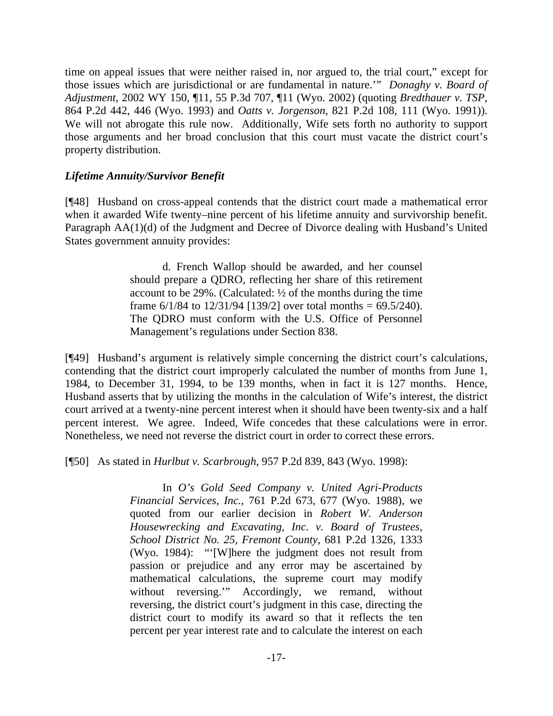time on appeal issues that were neither raised in, nor argued to, the trial court," except for those issues which are jurisdictional or are fundamental in nature.'" *Donaghy v. Board of Adjustment*, 2002 WY 150, ¶11, 55 P.3d 707, ¶11 (Wyo. 2002) (quoting *Bredthauer v. TSP*, 864 P.2d 442, 446 (Wyo. 1993) and *Oatts v. Jorgenson*, 821 P.2d 108, 111 (Wyo. 1991)). We will not abrogate this rule now. Additionally, Wife sets forth no authority to support those arguments and her broad conclusion that this court must vacate the district court's property distribution.

### *Lifetime Annuity/Survivor Benefit*

[¶48] Husband on cross-appeal contends that the district court made a mathematical error when it awarded Wife twenty–nine percent of his lifetime annuity and survivorship benefit. Paragraph AA(1)(d) of the Judgment and Decree of Divorce dealing with Husband's United States government annuity provides:

> d. French Wallop should be awarded, and her counsel should prepare a QDRO, reflecting her share of this retirement account to be 29%. (Calculated: ½ of the months during the time frame  $6/1/84$  to  $12/31/94$  [139/2] over total months =  $69.5/240$ ). The QDRO must conform with the U.S. Office of Personnel Management's regulations under Section 838.

[¶49] Husband's argument is relatively simple concerning the district court's calculations, contending that the district court improperly calculated the number of months from June 1, 1984, to December 31, 1994, to be 139 months, when in fact it is 127 months. Hence, Husband asserts that by utilizing the months in the calculation of Wife's interest, the district court arrived at a twenty-nine percent interest when it should have been twenty-six and a half percent interest. We agree. Indeed, Wife concedes that these calculations were in error. Nonetheless, we need not reverse the district court in order to correct these errors.

[¶50] As stated in *Hurlbut v. Scarbrough*, 957 P.2d 839, 843 (Wyo. 1998):

 In *O's Gold Seed Company v. United Agri-Products Financial Services, Inc.*, 761 P.2d 673, 677 (Wyo. 1988), we quoted from our earlier decision in *Robert W. Anderson Housewrecking and Excavating, Inc. v. Board of Trustees, School District No. 25, Fremont County*, 681 P.2d 1326, 1333 (Wyo. 1984): "'[W]here the judgment does not result from passion or prejudice and any error may be ascertained by mathematical calculations, the supreme court may modify without reversing.'" Accordingly, we remand, without reversing, the district court's judgment in this case, directing the district court to modify its award so that it reflects the ten percent per year interest rate and to calculate the interest on each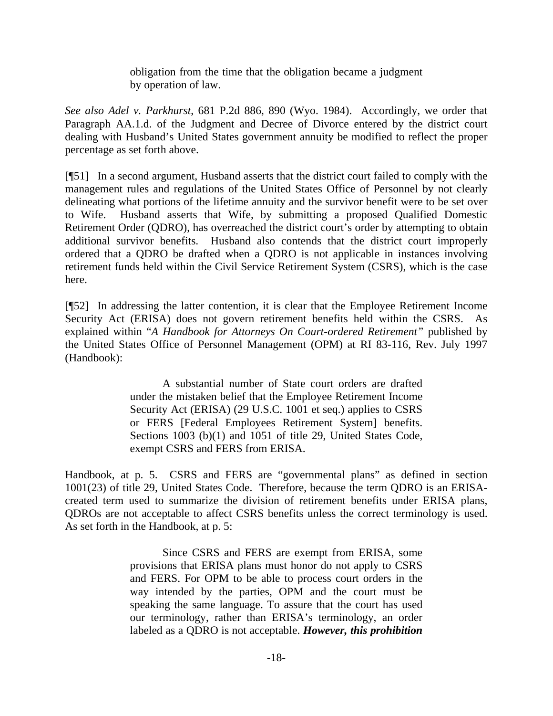obligation from the time that the obligation became a judgment by operation of law.

*See also Adel v. Parkhurst*, 681 P.2d 886, 890 (Wyo. 1984). Accordingly, we order that Paragraph AA.1.d. of the Judgment and Decree of Divorce entered by the district court dealing with Husband's United States government annuity be modified to reflect the proper percentage as set forth above.

[¶51] In a second argument, Husband asserts that the district court failed to comply with the management rules and regulations of the United States Office of Personnel by not clearly delineating what portions of the lifetime annuity and the survivor benefit were to be set over to Wife. Husband asserts that Wife, by submitting a proposed Qualified Domestic Retirement Order (QDRO), has overreached the district court's order by attempting to obtain additional survivor benefits. Husband also contends that the district court improperly ordered that a QDRO be drafted when a QDRO is not applicable in instances involving retirement funds held within the Civil Service Retirement System (CSRS), which is the case here.

[¶52] In addressing the latter contention, it is clear that the Employee Retirement Income Security Act (ERISA) does not govern retirement benefits held within the CSRS. As explained within "*A Handbook for Attorneys On Court-ordered Retirement"* published by the United States Office of Personnel Management (OPM) at RI 83-116, Rev. July 1997 (Handbook):

> A substantial number of State court orders are drafted under the mistaken belief that the Employee Retirement Income Security Act (ERISA) (29 U.S.C. 1001 et seq.) applies to CSRS or FERS [Federal Employees Retirement System] benefits. Sections 1003 (b)(1) and 1051 of title 29, United States Code, exempt CSRS and FERS from ERISA.

Handbook, at p. 5. CSRS and FERS are "governmental plans" as defined in section 1001(23) of title 29, United States Code. Therefore, because the term QDRO is an ERISAcreated term used to summarize the division of retirement benefits under ERISA plans, QDROs are not acceptable to affect CSRS benefits unless the correct terminology is used. As set forth in the Handbook, at p. 5:

> Since CSRS and FERS are exempt from ERISA, some provisions that ERISA plans must honor do not apply to CSRS and FERS. For OPM to be able to process court orders in the way intended by the parties, OPM and the court must be speaking the same language. To assure that the court has used our terminology, rather than ERISA's terminology, an order labeled as a QDRO is not acceptable. *However, this prohibition*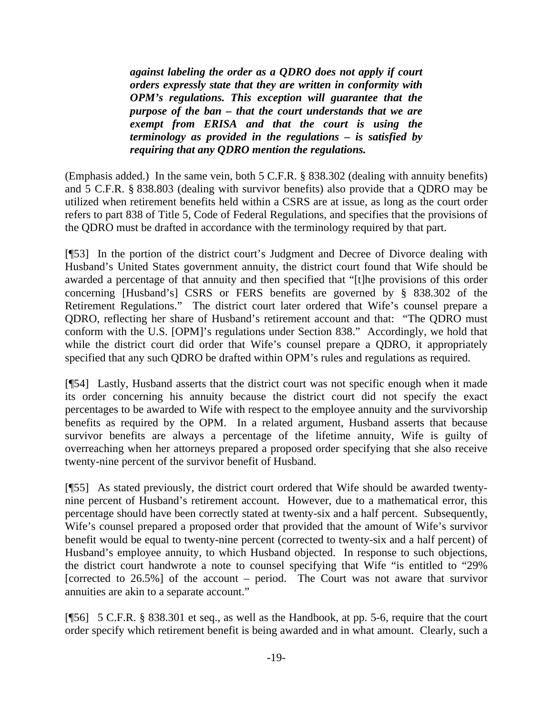*against labeling the order as a QDRO does not apply if court orders expressly state that they are written in conformity with OPM's regulations. This exception will guarantee that the purpose of the ban – that the court understands that we are exempt from ERISA and that the court is using the terminology as provided in the regulations – is satisfied by requiring that any QDRO mention the regulations.*

(Emphasis added.) In the same vein, both 5 C.F.R. § 838.302 (dealing with annuity benefits) and 5 C.F.R. § 838.803 (dealing with survivor benefits) also provide that a QDRO may be utilized when retirement benefits held within a CSRS are at issue, as long as the court order refers to part 838 of Title 5, Code of Federal Regulations, and specifies that the provisions of the QDRO must be drafted in accordance with the terminology required by that part.

[¶53] In the portion of the district court's Judgment and Decree of Divorce dealing with Husband's United States government annuity, the district court found that Wife should be awarded a percentage of that annuity and then specified that "[t]he provisions of this order concerning [Husband's] CSRS or FERS benefits are governed by § 838.302 of the Retirement Regulations." The district court later ordered that Wife's counsel prepare a QDRO, reflecting her share of Husband's retirement account and that: "The QDRO must conform with the U.S. [OPM]'s regulations under Section 838." Accordingly, we hold that while the district court did order that Wife's counsel prepare a QDRO, it appropriately specified that any such QDRO be drafted within OPM's rules and regulations as required.

[¶54] Lastly, Husband asserts that the district court was not specific enough when it made its order concerning his annuity because the district court did not specify the exact percentages to be awarded to Wife with respect to the employee annuity and the survivorship benefits as required by the OPM. In a related argument, Husband asserts that because survivor benefits are always a percentage of the lifetime annuity, Wife is guilty of overreaching when her attorneys prepared a proposed order specifying that she also receive twenty-nine percent of the survivor benefit of Husband.

[¶55] As stated previously, the district court ordered that Wife should be awarded twentynine percent of Husband's retirement account. However, due to a mathematical error, this percentage should have been correctly stated at twenty-six and a half percent. Subsequently, Wife's counsel prepared a proposed order that provided that the amount of Wife's survivor benefit would be equal to twenty-nine percent (corrected to twenty-six and a half percent) of Husband's employee annuity, to which Husband objected. In response to such objections, the district court handwrote a note to counsel specifying that Wife "is entitled to "29% [corrected to 26.5%] of the account – period. The Court was not aware that survivor annuities are akin to a separate account."

[¶56] 5 C.F.R. § 838.301 et seq., as well as the Handbook, at pp. 5-6, require that the court order specify which retirement benefit is being awarded and in what amount. Clearly, such a